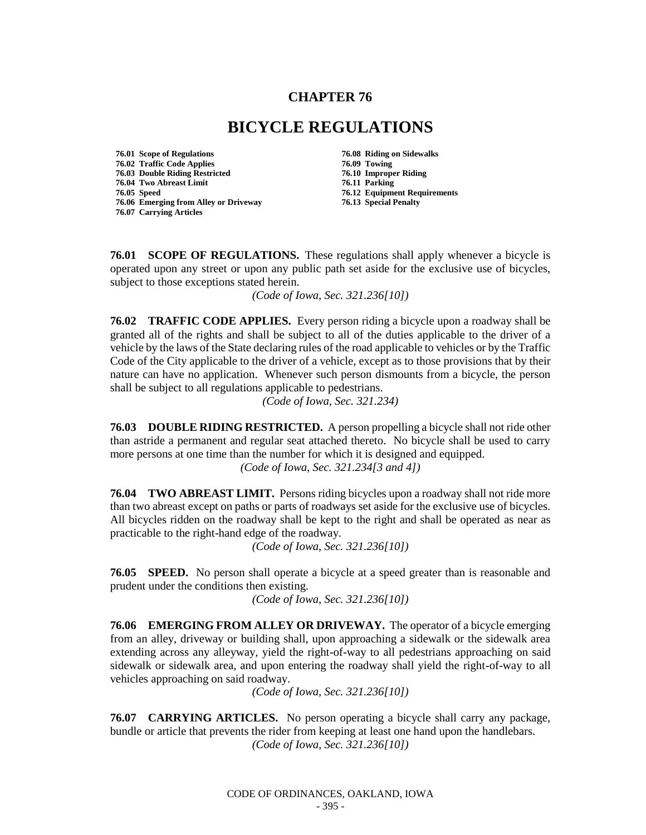## **CHAPTER 76**

## **BICYCLE REGULATIONS**

**76.01 Scope of Regulations 76.08 Riding on Sidewalks 76.02 Traffic Code Applies 76.09 Towing 76.03 Double Riding Restricted 76.10 Improper Riding 76.04 Two Abreast Limit 76.11 Parking 76.06 Emerging from Alley or Driveway 76.13 Special Penalty 76.07 Carrying Articles**

**76.12 Equipment Requirements** 

**76.01 SCOPE OF REGULATIONS.** These regulations shall apply whenever a bicycle is operated upon any street or upon any public path set aside for the exclusive use of bicycles, subject to those exceptions stated herein.

*(Code of Iowa, Sec. 321.236[10])*

**76.02 TRAFFIC CODE APPLIES.** Every person riding a bicycle upon a roadway shall be granted all of the rights and shall be subject to all of the duties applicable to the driver of a vehicle by the laws of the State declaring rules of the road applicable to vehicles or by the Traffic Code of the City applicable to the driver of a vehicle, except as to those provisions that by their nature can have no application. Whenever such person dismounts from a bicycle, the person shall be subject to all regulations applicable to pedestrians.

*(Code of Iowa, Sec. 321.234)*

**76.03 DOUBLE RIDING RESTRICTED.** A person propelling a bicycle shall not ride other than astride a permanent and regular seat attached thereto. No bicycle shall be used to carry more persons at one time than the number for which it is designed and equipped. *(Code of Iowa, Sec. 321.234[3 and 4])*

**76.04 TWO ABREAST LIMIT.** Persons riding bicycles upon a roadway shall not ride more than two abreast except on paths or parts of roadways set aside for the exclusive use of bicycles. All bicycles ridden on the roadway shall be kept to the right and shall be operated as near as practicable to the right-hand edge of the roadway.

*(Code of Iowa, Sec. 321.236[10])*

**76.05 SPEED.** No person shall operate a bicycle at a speed greater than is reasonable and prudent under the conditions then existing.

*(Code of Iowa, Sec. 321.236[10])*

**76.06 EMERGING FROM ALLEY OR DRIVEWAY.** The operator of a bicycle emerging from an alley, driveway or building shall, upon approaching a sidewalk or the sidewalk area extending across any alleyway, yield the right-of-way to all pedestrians approaching on said sidewalk or sidewalk area, and upon entering the roadway shall yield the right-of-way to all vehicles approaching on said roadway.

*(Code of Iowa, Sec. 321.236[10])*

**76.07 CARRYING ARTICLES.** No person operating a bicycle shall carry any package, bundle or article that prevents the rider from keeping at least one hand upon the handlebars. *(Code of Iowa, Sec. 321.236[10])*